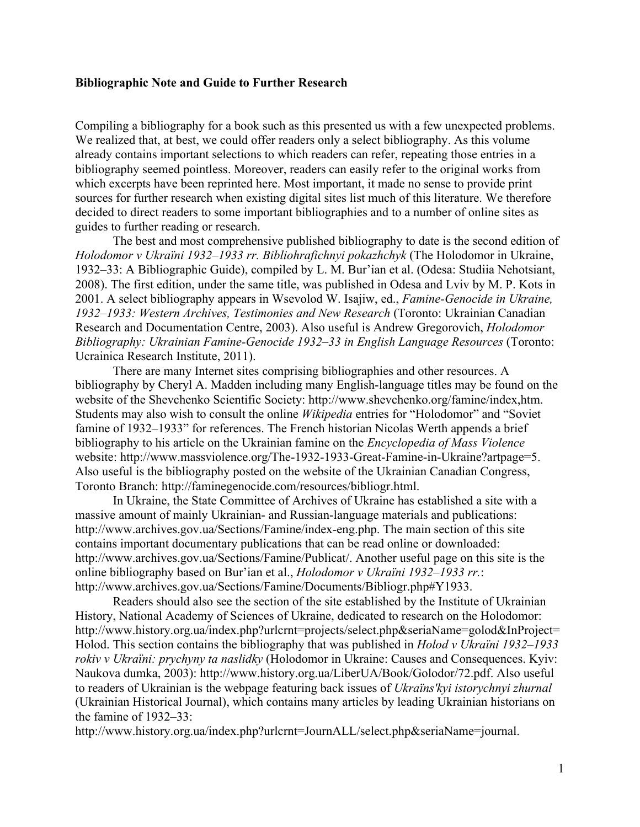## **Bibliographic Note and Guide to Further Research**

Compiling a bibliography for a book such as this presented us with a few unexpected problems. We realized that, at best, we could offer readers only a select bibliography. As this volume already contains important selections to which readers can refer, repeating those entries in a bibliography seemed pointless. Moreover, readers can easily refer to the original works from which excerpts have been reprinted here. Most important, it made no sense to provide print sources for further research when existing digital sites list much of this literature. We therefore decided to direct readers to some important bibliographies and to a number of online sites as guides to further reading or research.

The best and most comprehensive published bibliography to date is the second edition of *Holodomor v Ukraïni 1932–1933 rr. Bibliohrafichnyi pokazhchyk* (The Holodomor in Ukraine, 1932–33: A Bibliographic Guide), compiled by L. M. Bur'ian et al. (Odesa: Studiia Nehotsiant, 2008). The first edition, under the same title, was published in Odesa and Lviv by M. P. Kots in 2001. A select bibliography appears in Wsevolod W. Isajiw, ed., *Famine-Genocide in Ukraine, 1932–1933: Western Archives, Testimonies and New Research* (Toronto: Ukrainian Canadian Research and Documentation Centre, 2003). Also useful is Andrew Gregorovich, *Holodomor Bibliography: Ukrainian Famine-Genocide 1932–33 in English Language Resources* (Toronto: Ucrainica Research Institute, 2011).

There are many Internet sites comprising bibliographies and other resources. A bibliography by Cheryl A. Madden including many English-language titles may be found on the website of the Shevchenko Scientific Society: http://www.shevchenko.org/famine/index,htm. Students may also wish to consult the online *Wikipedia* entries for "Holodomor" and "Soviet famine of 1932–1933" for references. The French historian Nicolas Werth appends a brief bibliography to his article on the Ukrainian famine on the *Encyclopedia of Mass Violence* website: http://www.massviolence.org/The-1932-1933-Great-Famine-in-Ukraine?artpage=5. Also useful is the bibliography posted on the website of the Ukrainian Canadian Congress, Toronto Branch: http://faminegenocide.com/resources/bibliogr.html.

In Ukraine, the State Committee of Archives of Ukraine has established a site with a massive amount of mainly Ukrainian- and Russian-language materials and publications: http://www.archives.gov.ua/Sections/Famine/index-eng.php. The main section of this site contains important documentary publications that can be read online or downloaded: http://www.archives.gov.ua/Sections/Famine/Publicat/. Another useful page on this site is the online bibliography based on Bur'ian et al., *Holodomor v Ukraïni 1932–1933 rr.*: http://www.archives.gov.ua/Sections/Famine/Documents/Bibliogr.php#Y1933.

Readers should also see the section of the site established by the Institute of Ukrainian History, National Academy of Sciences of Ukraine, dedicated to research on the Holodomor: http://www.history.org.ua/index.php?urlcrnt=projects/select.php&seriaName=golod&InProject= Holod. This section contains the bibliography that was published in *Holod v Ukraïni 1932–1933 rokiv v Ukraïni: prychyny ta naslidky* (Holodomor in Ukraine: Causes and Consequences. Kyiv: Naukova dumka, 2003): http://www.history.org.ua/LiberUA/Book/Golodor/72.pdf. Also useful to readers of Ukrainian is the webpage featuring back issues of *Ukraïns'kyi istorychnyi zhurnal* (Ukrainian Historical Journal), which contains many articles by leading Ukrainian historians on the famine of 1932–33:

http://www.history.org.ua/index.php?urlcrnt=JournALL/select.php&seriaName=journal.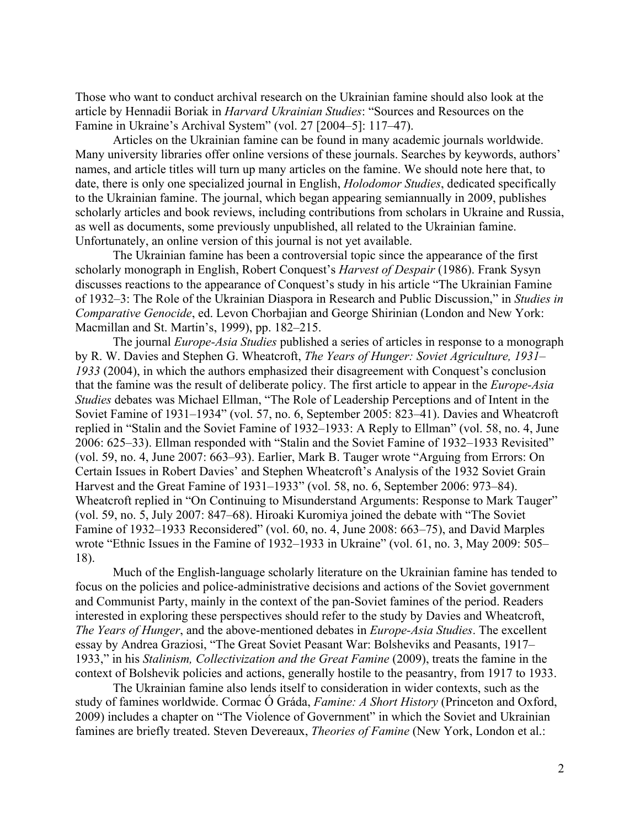Those who want to conduct archival research on the Ukrainian famine should also look at the article by Hennadii Boriak in *Harvard Ukrainian Studies*: "Sources and Resources on the Famine in Ukraine's Archival System" (vol. 27 [2004–5]: 117–47).

Articles on the Ukrainian famine can be found in many academic journals worldwide. Many university libraries offer online versions of these journals. Searches by keywords, authors' names, and article titles will turn up many articles on the famine. We should note here that, to date, there is only one specialized journal in English, *Holodomor Studies*, dedicated specifically to the Ukrainian famine. The journal, which began appearing semiannually in 2009, publishes scholarly articles and book reviews, including contributions from scholars in Ukraine and Russia, as well as documents, some previously unpublished, all related to the Ukrainian famine. Unfortunately, an online version of this journal is not yet available.

The Ukrainian famine has been a controversial topic since the appearance of the first scholarly monograph in English, Robert Conquest's *Harvest of Despair* (1986). Frank Sysyn discusses reactions to the appearance of Conquest's study in his article "The Ukrainian Famine of 1932–3: The Role of the Ukrainian Diaspora in Research and Public Discussion," in *Studies in Comparative Genocide*, ed. Levon Chorbajian and George Shirinian (London and New York: Macmillan and St. Martin's, 1999), pp. 182–215.

The journal *Europe-Asia Studies* published a series of articles in response to a monograph by R. W. Davies and Stephen G. Wheatcroft, *The Years of Hunger: Soviet Agriculture, 1931– 1933* (2004), in which the authors emphasized their disagreement with Conquest's conclusion that the famine was the result of deliberate policy. The first article to appear in the *Europe-Asia Studies* debates was Michael Ellman, "The Role of Leadership Perceptions and of Intent in the Soviet Famine of 1931–1934" (vol. 57, no. 6, September 2005: 823–41). Davies and Wheatcroft replied in "Stalin and the Soviet Famine of 1932–1933: A Reply to Ellman" (vol. 58, no. 4, June 2006: 625–33). Ellman responded with "Stalin and the Soviet Famine of 1932–1933 Revisited" (vol. 59, no. 4, June 2007: 663–93). Earlier, Mark B. Tauger wrote "Arguing from Errors: On Certain Issues in Robert Davies' and Stephen Wheatcroft's Analysis of the 1932 Soviet Grain Harvest and the Great Famine of 1931–1933" (vol. 58, no. 6, September 2006: 973–84). Wheatcroft replied in "On Continuing to Misunderstand Arguments: Response to Mark Tauger" (vol. 59, no. 5, July 2007: 847–68). Hiroaki Kuromiya joined the debate with "The Soviet Famine of 1932–1933 Reconsidered" (vol. 60, no. 4, June 2008: 663–75), and David Marples wrote "Ethnic Issues in the Famine of 1932–1933 in Ukraine" (vol. 61, no. 3, May 2009: 505– 18).

Much of the English-language scholarly literature on the Ukrainian famine has tended to focus on the policies and police-administrative decisions and actions of the Soviet government and Communist Party, mainly in the context of the pan-Soviet famines of the period. Readers interested in exploring these perspectives should refer to the study by Davies and Wheatcroft, *The Years of Hunger*, and the above-mentioned debates in *Europe-Asia Studies*. The excellent essay by Andrea Graziosi, "The Great Soviet Peasant War: Bolsheviks and Peasants, 1917– 1933," in his *Stalinism, Collectivization and the Great Famine* (2009), treats the famine in the context of Bolshevik policies and actions, generally hostile to the peasantry, from 1917 to 1933.

The Ukrainian famine also lends itself to consideration in wider contexts, such as the study of famines worldwide. Cormac Ó Gráda, *Famine: A Short History* (Princeton and Oxford, 2009) includes a chapter on "The Violence of Government" in which the Soviet and Ukrainian famines are briefly treated. Steven Devereaux, *Theories of Famine* (New York, London et al.: